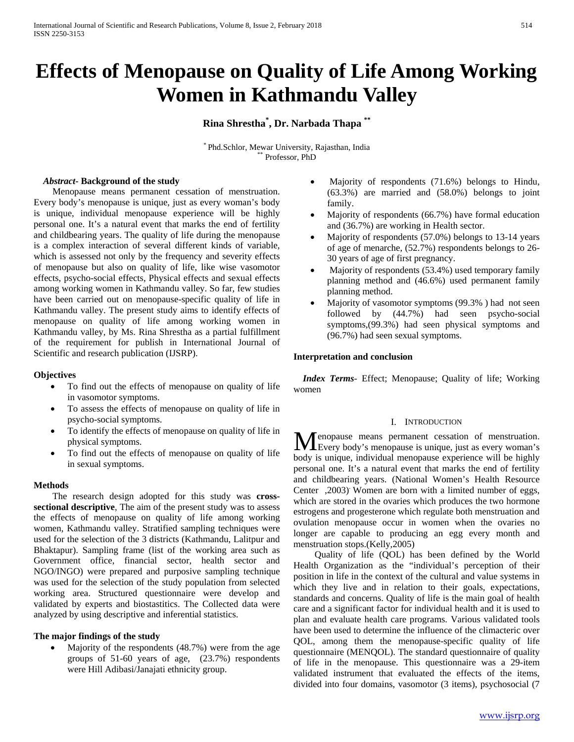# **Effects of Menopause on Quality of Life Among Working Women in Kathmandu Valley**

**Rina Shrestha\* , Dr. Narbada Thapa \*\***

\* Phd.Schlor, Mewar University, Rajasthan, India \*\* Professor, PhD

## *Abstract***- Background of the study**

 Menopause means permanent cessation of menstruation. Every body's menopause is unique, just as every woman's body is unique, individual menopause experience will be highly personal one. It's a natural event that marks the end of fertility and childbearing years. The quality of life during the menopause is a complex interaction of several different kinds of variable, which is assessed not only by the frequency and severity effects of menopause but also on quality of life, like wise vasomotor effects, psycho-social effects, Physical effects and sexual effects among working women in Kathmandu valley. So far, few studies have been carried out on menopause-specific quality of life in Kathmandu valley. The present study aims to identify effects of menopause on quality of life among working women in Kathmandu valley, by Ms. Rina Shrestha as a partial fulfillment of the requirement for publish in International Journal of Scientific and research publication (IJSRP).

## **Objectives**

- To find out the effects of menopause on quality of life in vasomotor symptoms.
- To assess the effects of menopause on quality of life in psycho-social symptoms.
- To identify the effects of menopause on quality of life in physical symptoms.
- To find out the effects of menopause on quality of life in sexual symptoms.

## **Methods**

 The research design adopted for this study was **crosssectional descriptive**, The aim of the present study was to assess the effects of menopause on quality of life among working women, Kathmandu valley. Stratified sampling techniques were used for the selection of the 3 districts (Kathmandu, Lalitpur and Bhaktapur). Sampling frame (list of the working area such as Government office, financial sector, health sector and NGO/INGO) were prepared and purposive sampling technique was used for the selection of the study population from selected working area. Structured questionnaire were develop and validated by experts and biostastitics. The Collected data were analyzed by using descriptive and inferential statistics.

## **The major findings of the study**

Majority of the respondents  $(48.7%)$  were from the age groups of 51-60 years of age, (23.7%) respondents were Hill Adibasi/Janajati ethnicity group.

- Majority of respondents (71.6%) belongs to Hindu, (63.3%) are married and (58.0%) belongs to joint family.
- Majority of respondents (66.7%) have formal education and (36.7%) are working in Health sector.
- Majority of respondents (57.0%) belongs to 13-14 years of age of menarche, (52.7%) respondents belongs to 26- 30 years of age of first pregnancy.
- Majority of respondents (53.4%) used temporary family planning method and (46.6%) used permanent family planning method.
- Majority of vasomotor symptoms (99.3%) had not seen followed by (44.7%) had seen psycho-social symptoms,(99.3%) had seen physical symptoms and (96.7%) had seen sexual symptoms.

## **Interpretation and conclusion**

 *Index Terms*- Effect; Menopause; Quality of life; Working women

### I. INTRODUCTION

enopause means permanent cessation of menstruation. **M** enopause means permanent cessation of menstruation.<br>
Every body's menopause is unique, just as every woman's body is unique, individual menopause experience will be highly personal one. It's a natural event that marks the end of fertility and childbearing years. (National Women's Health Resource Center , 2003). Women are born with a limited number of eggs, which are stored in the ovaries which produces the two hormone estrogens and progesterone which regulate both menstruation and ovulation menopause occur in women when the ovaries no longer are capable to producing an egg every month and menstruation stops.(Kelly,2005)

 Quality of life (QOL) has been defined by the World Health Organization as the "individual's perception of their position in life in the context of the cultural and value systems in which they live and in relation to their goals, expectations, standards and concerns. Quality of life is the main goal of health care and a significant factor for individual health and it is used to plan and evaluate health care programs. Various validated tools have been used to determine the influence of the climacteric over QOL, among them the menopause-specific quality of life questionnaire (MENQOL). The standard questionnaire of quality of life in the menopause. This questionnaire was a 29-item validated instrument that evaluated the effects of the items, divided into four domains, vasomotor (3 items), psychosocial (7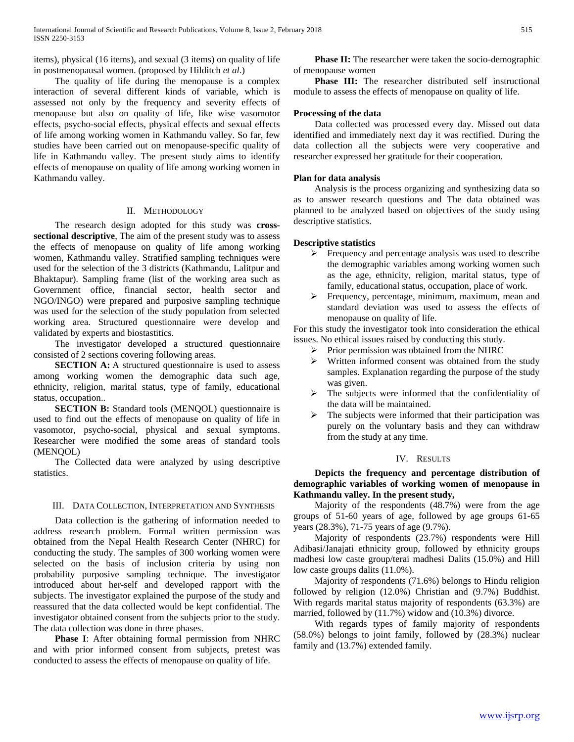items), physical (16 items), and sexual (3 items) on quality of life in postmenopausal women. (proposed by Hilditch *et al*.)

 The quality of life during the menopause is a complex interaction of several different kinds of variable, which is assessed not only by the frequency and severity effects of menopause but also on quality of life, like wise vasomotor effects, psycho-social effects, physical effects and sexual effects of life among working women in Kathmandu valley. So far, few studies have been carried out on menopause-specific quality of life in Kathmandu valley. The present study aims to identify effects of menopause on quality of life among working women in Kathmandu valley.

## II. METHODOLOGY

 The research design adopted for this study was **crosssectional descriptive**, The aim of the present study was to assess the effects of menopause on quality of life among working women, Kathmandu valley. Stratified sampling techniques were used for the selection of the 3 districts (Kathmandu, Lalitpur and Bhaktapur). Sampling frame (list of the working area such as Government office, financial sector, health sector and NGO/INGO) were prepared and purposive sampling technique was used for the selection of the study population from selected working area. Structured questionnaire were develop and validated by experts and biostastitics.

 The investigator developed a structured questionnaire consisted of 2 sections covering following areas.

**SECTION A:** A structured questionnaire is used to assess among working women the demographic data such age, ethnicity, religion, marital status, type of family, educational status, occupation..

**SECTION B:** Standard tools (MENQOL) questionnaire is used to find out the effects of menopause on quality of life in vasomotor, psycho-social, physical and sexual symptoms. Researcher were modified the some areas of standard tools (MENQOL)

 The Collected data were analyzed by using descriptive statistics.

## III. DATA COLLECTION, INTERPRETATION AND SYNTHESIS

 Data collection is the gathering of information needed to address research problem. Formal written permission was obtained from the Nepal Health Research Center (NHRC) for conducting the study. The samples of 300 working women were selected on the basis of inclusion criteria by using non probability purposive sampling technique. The investigator introduced about her-self and developed rapport with the subjects. The investigator explained the purpose of the study and reassured that the data collected would be kept confidential. The investigator obtained consent from the subjects prior to the study. The data collection was done in three phases.

 **Phase I**: After obtaining formal permission from NHRC and with prior informed consent from subjects, pretest was conducted to assess the effects of menopause on quality of life.

**Phase II:** The researcher were taken the socio-demographic of menopause women

 **Phase III:** The researcher distributed self instructional module to assess the effects of menopause on quality of life.

## **Processing of the data**

 Data collected was processed every day. Missed out data identified and immediately next day it was rectified. During the data collection all the subjects were very cooperative and researcher expressed her gratitude for their cooperation.

## **Plan for data analysis**

 Analysis is the process organizing and synthesizing data so as to answer research questions and The data obtained was planned to be analyzed based on objectives of the study using descriptive statistics.

#### **Descriptive statistics**

- $\triangleright$  Frequency and percentage analysis was used to describe the demographic variables among working women such as the age, ethnicity, religion, marital status, type of family, educational status, occupation, place of work.
- $\triangleright$  Frequency, percentage, minimum, maximum, mean and standard deviation was used to assess the effects of menopause on quality of life.

For this study the investigator took into consideration the ethical issues. No ethical issues raised by conducting this study.

- $\triangleright$  Prior permission was obtained from the NHRC<br> $\triangleright$  Written informed consent was obtained from
- Written informed consent was obtained from the study samples. Explanation regarding the purpose of the study was given.
- $\triangleright$  The subjects were informed that the confidentiality of the data will be maintained.
- $\triangleright$  The subjects were informed that their participation was purely on the voluntary basis and they can withdraw from the study at any time.

## IV. RESULTS

 **Depicts the frequency and percentage distribution of demographic variables of working women of menopause in Kathmandu valley. In the present study,**

 Majority of the respondents (48.7%) were from the age groups of 51-60 years of age, followed by age groups 61-65 years (28.3%), 71-75 years of age (9.7%).

 Majority of respondents (23.7%) respondents were Hill Adibasi/Janajati ethnicity group, followed by ethnicity groups madhesi low caste group/terai madhesi Dalits (15.0%) and Hill low caste groups dalits (11.0%).

 Majority of respondents (71.6%) belongs to Hindu religion followed by religion (12.0%) Christian and (9.7%) Buddhist. With regards marital status majority of respondents (63.3%) are married, followed by (11.7%) widow and (10.3%) divorce.

 With regards types of family majority of respondents (58.0%) belongs to joint family, followed by (28.3%) nuclear family and (13.7%) extended family.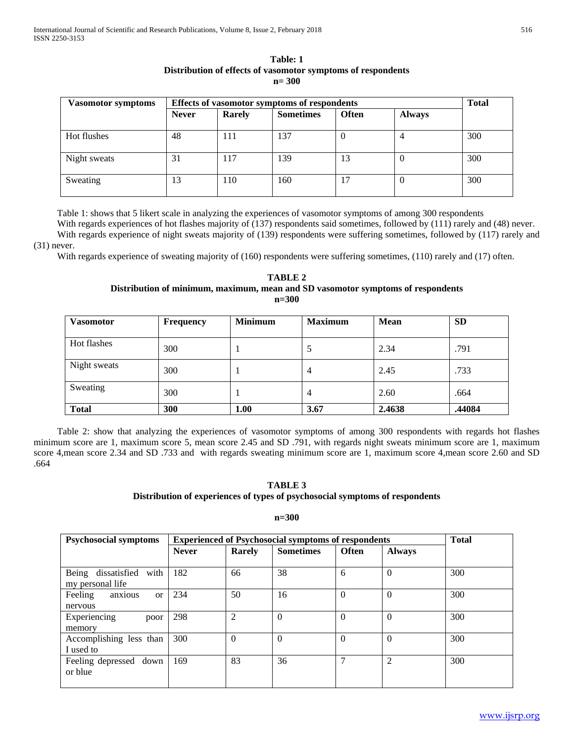| Table: 1                                                     |
|--------------------------------------------------------------|
| Distribution of effects of vasomotor symptoms of respondents |
| $n = 300$                                                    |

| Vasomotor symptoms | Effects of vasomotor symptoms of respondents | <b>Total</b> |                  |              |               |     |
|--------------------|----------------------------------------------|--------------|------------------|--------------|---------------|-----|
|                    | <b>Never</b>                                 | Rarely       | <b>Sometimes</b> | <b>Often</b> | <b>Always</b> |     |
| Hot flushes        | 48                                           | 111          | 137              | $\theta$     | 4             | 300 |
| Night sweats       | 31                                           | 117          | 139              | 13           | $\theta$      | 300 |
| Sweating           | 13                                           | 110          | 160              | 17           | $\Omega$      | 300 |

 Table 1: shows that 5 likert scale in analyzing the experiences of vasomotor symptoms of among 300 respondents With regards experiences of hot flashes majority of (137) respondents said sometimes, followed by (111) rarely and (48) never. With regards experience of night sweats majority of (139) respondents were suffering sometimes, followed by (117) rarely and

## (31) never.

With regards experience of sweating majority of (160) respondents were suffering sometimes, (110) rarely and (17) often.

| TABLE 2                                                                         |
|---------------------------------------------------------------------------------|
| Distribution of minimum, maximum, mean and SD vasomotor symptoms of respondents |
| $n = 300$                                                                       |

| <b>Vasomotor</b> | <b>Frequency</b> | <b>Minimum</b> | <b>Maximum</b> | <b>Mean</b> | <b>SD</b> |
|------------------|------------------|----------------|----------------|-------------|-----------|
| Hot flashes      | 300              |                |                | 2.34        | .791      |
| Night sweats     | 300              |                | 4              | 2.45        | .733      |
| Sweating         | 300              |                | 4              | 2.60        | .664      |
| <b>Total</b>     | 300              | 1.00           | 3.67           | 2.4638      | .44084    |

 Table 2: show that analyzing the experiences of vasomotor symptoms of among 300 respondents with regards hot flashes minimum score are 1, maximum score 5, mean score 2.45 and SD .791, with regards night sweats minimum score are 1, maximum score 4,mean score 2.34 and SD .733 and with regards sweating minimum score are 1, maximum score 4,mean score 2.60 and SD .664

# **TABLE 3**

## **Distribution of experiences of types of psychosocial symptoms of respondents**

### **n=300**

| <b>Psychosocial symptoms</b>        | <b>Experienced of Psychosocial symptoms of respondents</b> | <b>Total</b>   |                  |              |                |     |
|-------------------------------------|------------------------------------------------------------|----------------|------------------|--------------|----------------|-----|
|                                     | <b>Never</b>                                               | Rarely         | <b>Sometimes</b> | <b>Often</b> | <b>Always</b>  |     |
|                                     |                                                            |                |                  |              |                |     |
| Being<br>dissatisfied<br>with       | 182                                                        | 66             | 38               | 6            | $\Omega$       | 300 |
| my personal life                    |                                                            |                |                  |              |                |     |
| Feeling<br>anxious<br><sub>or</sub> | 234                                                        | 50             | 16               | $\theta$     | $\Omega$       | 300 |
| nervous                             |                                                            |                |                  |              |                |     |
| Experiencing<br>poor                | 298                                                        | $\overline{2}$ | $\theta$         | $\Omega$     | $\Omega$       | 300 |
| memory                              |                                                            |                |                  |              |                |     |
| Accomplishing less than             | 300                                                        | $\theta$       | $\Omega$         | $\Omega$     | $\Omega$       | 300 |
| I used to                           |                                                            |                |                  |              |                |     |
| Feeling depressed<br>down           | 169                                                        | 83             | 36               | 7            | $\overline{2}$ | 300 |
| or blue                             |                                                            |                |                  |              |                |     |
|                                     |                                                            |                |                  |              |                |     |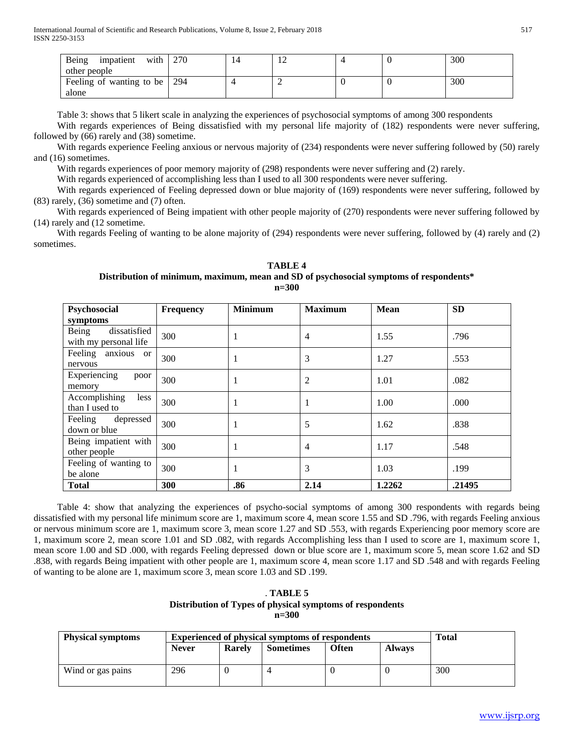| Being<br>with<br>impatient | 270 |  |  | 300 |
|----------------------------|-----|--|--|-----|
| other people               |     |  |  |     |
| Feeling of wanting to be   | 294 |  |  | 300 |
| alone                      |     |  |  |     |

Table 3: shows that 5 likert scale in analyzing the experiences of psychosocial symptoms of among 300 respondents

 With regards experiences of Being dissatisfied with my personal life majority of (182) respondents were never suffering, followed by (66) rarely and (38) sometime.

 With regards experience Feeling anxious or nervous majority of (234) respondents were never suffering followed by (50) rarely and (16) sometimes.

With regards experiences of poor memory majority of (298) respondents were never suffering and (2) rarely.

With regards experienced of accomplishing less than I used to all 300 respondents were never suffering.

 With regards experienced of Feeling depressed down or blue majority of (169) respondents were never suffering, followed by (83) rarely, (36) sometime and (7) often.

 With regards experienced of Being impatient with other people majority of (270) respondents were never suffering followed by (14) rarely and (12 sometime.

 With regards Feeling of wanting to be alone majority of (294) respondents were never suffering, followed by (4) rarely and (2) sometimes.

**TABLE 4 Distribution of minimum, maximum, mean and SD of psychosocial symptoms of respondents\* n=300**

| Psychosocial                                   | <b>Frequency</b> | <b>Minimum</b> | <b>Maximum</b> | <b>Mean</b> | <b>SD</b> |
|------------------------------------------------|------------------|----------------|----------------|-------------|-----------|
| symptoms                                       |                  |                |                |             |           |
| dissatisfied<br>Being<br>with my personal life | 300              |                | $\overline{4}$ | 1.55        | .796      |
| Feeling<br>anxious or<br>nervous               | 300              |                | 3              | 1.27        | .553      |
| Experiencing<br>poor<br>memory                 | 300              |                | $\overline{2}$ | 1.01        | .082      |
| Accomplishing<br>less<br>than I used to        | 300              |                |                | 1.00        | .000      |
| depressed<br>Feeling<br>down or blue           | 300              |                | 5              | 1.62        | .838      |
| Being impatient with<br>other people           | 300              |                | 4              | 1.17        | .548      |
| Feeling of wanting to<br>be alone              | 300              |                | 3              | 1.03        | .199      |
| <b>Total</b>                                   | 300              | .86            | 2.14           | 1.2262      | .21495    |

 Table 4: show that analyzing the experiences of psycho-social symptoms of among 300 respondents with regards being dissatisfied with my personal life minimum score are 1, maximum score 4, mean score 1.55 and SD .796, with regards Feeling anxious or nervous minimum score are 1, maximum score 3, mean score 1.27 and SD .553, with regards Experiencing poor memory score are 1, maximum score 2, mean score 1.01 and SD .082, with regards Accomplishing less than I used to score are 1, maximum score 1, mean score 1.00 and SD .000, with regards Feeling depressed down or blue score are 1, maximum score 5, mean score 1.62 and SD .838, with regards Being impatient with other people are 1, maximum score 4, mean score 1.17 and SD .548 and with regards Feeling of wanting to be alone are 1, maximum score 3, mean score 1.03 and SD .199.

# . **TABLE 5 Distribution of Types of physical symptoms of respondents n=300**

| <b>Physical symptoms</b> | <b>Experienced of physical symptoms of respondents</b> | <b>Total</b>  |                  |       |               |     |
|--------------------------|--------------------------------------------------------|---------------|------------------|-------|---------------|-----|
|                          | <b>Never</b>                                           | <b>Rarely</b> | <b>Sometimes</b> | Often | <b>Always</b> |     |
| Wind or gas pains        | 296                                                    |               |                  |       |               | 300 |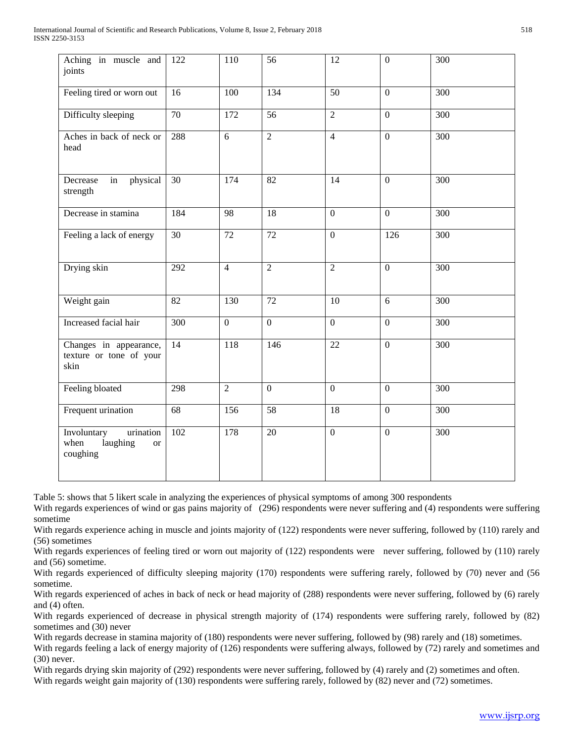| Aching in muscle and<br>joints                                        | 122              | 110              | 56              | 12              | $\mathbf{0}$     | 300              |
|-----------------------------------------------------------------------|------------------|------------------|-----------------|-----------------|------------------|------------------|
| Feeling tired or worn out                                             | 16               | 100              | 134             | 50              | $\mathbf{0}$     | 300              |
| Difficulty sleeping                                                   | $\overline{70}$  | $\overline{172}$ | $\overline{56}$ | $\overline{2}$  | $\overline{0}$   | 300              |
| Aches in back of neck or<br>head                                      | 288              | 6                | $\overline{2}$  | $\overline{4}$  | $\overline{0}$   | $\overline{300}$ |
| Decrease<br>physical<br>in<br>strength                                | 30               | 174              | 82              | 14              | $\boldsymbol{0}$ | 300              |
| Decrease in stamina                                                   | 184              | 98               | 18              | $\overline{0}$  | $\overline{0}$   | 300              |
| Feeling a lack of energy                                              | $\overline{30}$  | $\overline{72}$  | $\overline{72}$ | $\overline{0}$  | $\overline{126}$ | $\overline{300}$ |
| Drying skin                                                           | 292              | $\overline{4}$   | $\overline{2}$  | $\overline{2}$  | $\overline{0}$   | $\overline{300}$ |
| Weight gain                                                           | 82               | 130              | $\overline{72}$ | 10              | $\overline{6}$   | 300              |
| Increased facial hair                                                 | $\overline{300}$ | $\overline{0}$   | $\overline{0}$  | $\overline{0}$  | $\overline{0}$   | 300              |
| Changes in appearance,<br>texture or tone of your<br>skin             | 14               | 118              | 146             | $\overline{22}$ | $\overline{0}$   | $\overline{300}$ |
| Feeling bloated                                                       | 298              | $\overline{2}$   | $\overline{0}$  | $\overline{0}$  | $\overline{0}$   | 300              |
| Frequent urination                                                    | 68               | 156              | 58              | 18              | $\boldsymbol{0}$ | 300              |
| Involuntary<br>urination<br>laughing<br>when<br><b>or</b><br>coughing | 102              | 178              | 20              | $\overline{0}$  | $\boldsymbol{0}$ | 300              |

Table 5: shows that 5 likert scale in analyzing the experiences of physical symptoms of among 300 respondents

With regards experiences of wind or gas pains majority of (296) respondents were never suffering and (4) respondents were suffering sometime

With regards experience aching in muscle and joints majority of (122) respondents were never suffering, followed by (110) rarely and (56) sometimes

With regards experiences of feeling tired or worn out majority of (122) respondents were never suffering, followed by (110) rarely and (56) sometime.

With regards experienced of difficulty sleeping majority (170) respondents were suffering rarely, followed by (70) never and (56 sometime.

With regards experienced of aches in back of neck or head majority of (288) respondents were never suffering, followed by (6) rarely and (4) often.

With regards experienced of decrease in physical strength majority of (174) respondents were suffering rarely, followed by (82) sometimes and (30) never

With regards decrease in stamina majority of (180) respondents were never suffering, followed by (98) rarely and (18) sometimes.

With regards feeling a lack of energy majority of (126) respondents were suffering always, followed by (72) rarely and sometimes and (30) never.

With regards drying skin majority of (292) respondents were never suffering, followed by (4) rarely and (2) sometimes and often. With regards weight gain majority of (130) respondents were suffering rarely, followed by (82) never and (72) sometimes.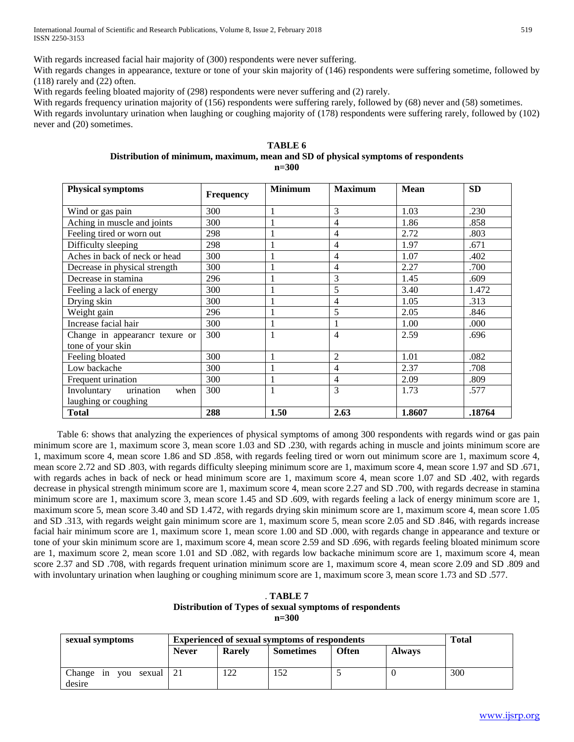With regards increased facial hair majority of (300) respondents were never suffering.

With regards changes in appearance, texture or tone of your skin majority of  $(146)$  respondents were suffering sometime, followed by (118) rarely and (22) often.

With regards feeling bloated majority of (298) respondents were never suffering and (2) rarely.

With regards frequency urination majority of (156) respondents were suffering rarely, followed by (68) never and (58) sometimes. With regards involuntary urination when laughing or coughing majority of (178) respondents were suffering rarely, followed by (102) never and (20) sometimes.

## **TABLE 6 Distribution of minimum, maximum, mean and SD of physical symptoms of respondents n=300**

| <b>Physical symptoms</b>         | <b>Frequency</b> | <b>Minimum</b> | <b>Maximum</b> | <b>Mean</b> | <b>SD</b> |
|----------------------------------|------------------|----------------|----------------|-------------|-----------|
| Wind or gas pain                 | 300              |                | 3              | 1.03        | .230      |
| Aching in muscle and joints      | 300              |                | 4              | 1.86        | .858      |
| Feeling tired or worn out        | 298              |                | 4              | 2.72        | .803      |
| Difficulty sleeping              | 298              |                | $\overline{4}$ | 1.97        | .671      |
| Aches in back of neck or head    | 300              |                | 4              | 1.07        | .402      |
| Decrease in physical strength    | 300              |                | $\overline{4}$ | 2.27        | .700      |
| Decrease in stamina              | 296              |                | 3              | 1.45        | .609      |
| Feeling a lack of energy         | 300              |                | 5              | 3.40        | 1.472     |
| Drying skin                      | 300              |                | 4              | 1.05        | .313      |
| Weight gain                      | 296              |                | 5              | 2.05        | .846      |
| Increase facial hair             | 300              |                |                | 1.00        | .000      |
| Change in appearancr texure or   | 300              |                | 4              | 2.59        | .696      |
| tone of your skin                |                  |                |                |             |           |
| Feeling bloated                  | 300              |                | $\overline{c}$ | 1.01        | .082      |
| Low backache                     | 300              |                | 4              | 2.37        | .708      |
| Frequent urination               | 300              |                | $\overline{4}$ | 2.09        | .809      |
| urination<br>Involuntary<br>when | 300              |                | 3              | 1.73        | .577      |
| laughing or coughing             |                  |                |                |             |           |
| <b>Total</b>                     | 288              | 1.50           | 2.63           | 1.8607      | .18764    |

 Table 6: shows that analyzing the experiences of physical symptoms of among 300 respondents with regards wind or gas pain minimum score are 1, maximum score 3, mean score 1.03 and SD .230, with regards aching in muscle and joints minimum score are 1, maximum score 4, mean score 1.86 and SD .858, with regards feeling tired or worn out minimum score are 1, maximum score 4, mean score 2.72 and SD .803, with regards difficulty sleeping minimum score are 1, maximum score 4, mean score 1.97 and SD .671, with regards aches in back of neck or head minimum score are 1, maximum score 4, mean score 1.07 and SD .402, with regards decrease in physical strength minimum score are 1, maximum score 4, mean score 2.27 and SD .700, with regards decrease in stamina minimum score are 1, maximum score 3, mean score 1.45 and SD .609, with regards feeling a lack of energy minimum score are 1, maximum score 5, mean score 3.40 and SD 1.472, with regards drying skin minimum score are 1, maximum score 4, mean score 1.05 and SD .313, with regards weight gain minimum score are 1, maximum score 5, mean score 2.05 and SD .846, with regards increase facial hair minimum score are 1, maximum score 1, mean score 1.00 and SD .000, with regards change in appearance and texture or tone of your skin minimum score are 1, maximum score 4, mean score 2.59 and SD .696, with regards feeling bloated minimum score are 1, maximum score 2, mean score 1.01 and SD .082, with regards low backache minimum score are 1, maximum score 4, mean score 2.37 and SD .708, with regards frequent urination minimum score are 1, maximum score 4, mean score 2.09 and SD .809 and with involuntary urination when laughing or coughing minimum score are 1, maximum score 3, mean score 1.73 and SD .577.

. **TABLE 7 Distribution of Types of sexual symptoms of respondents n=300**

| sexual symptoms                            | <b>Experienced of sexual symptoms of respondents</b> |               |                  |              |               | Total |
|--------------------------------------------|------------------------------------------------------|---------------|------------------|--------------|---------------|-------|
|                                            | <b>Never</b>                                         | <b>Rarely</b> | <b>Sometimes</b> | <b>Often</b> | <b>Always</b> |       |
| Change<br>sexual 21<br>vou<br>1n<br>desire |                                                      | 122           | 152              |              |               | 300   |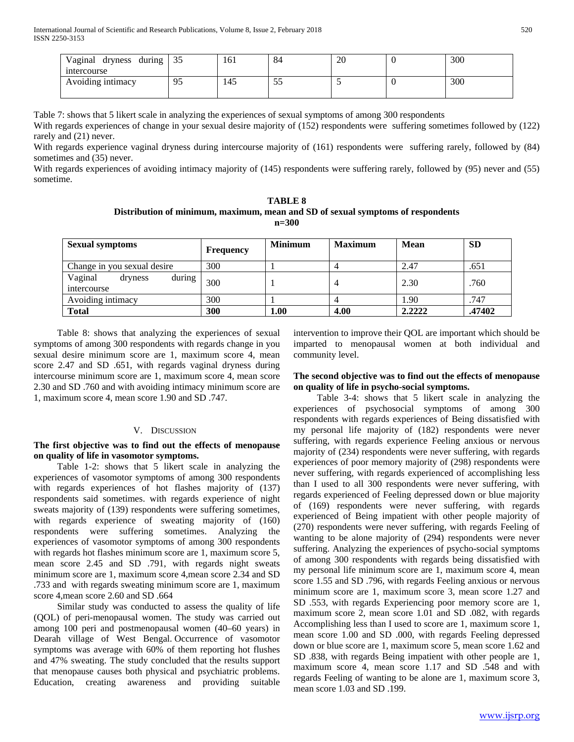| dryness during $\vert 35 \rangle$<br>Vaginal<br>intercourse |    | 161 | 84   | 20 | 300 |
|-------------------------------------------------------------|----|-----|------|----|-----|
| Avoiding intimacy                                           | Ω5 | 145 | ر_ر_ |    | 300 |

Table 7: shows that 5 likert scale in analyzing the experiences of sexual symptoms of among 300 respondents

With regards experiences of change in your sexual desire majority of (152) respondents were suffering sometimes followed by (122) rarely and (21) never.

With regards experience vaginal dryness during intercourse majority of (161) respondents were suffering rarely, followed by (84) sometimes and (35) never.

With regards experiences of avoiding intimacy majority of (145) respondents were suffering rarely, followed by (95) never and (55) sometime.

**TABLE 8 Distribution of minimum, maximum, mean and SD of sexual symptoms of respondents n=300**

| <b>Sexual symptoms</b>                      | Frequency | <b>Minimum</b> | <b>Maximum</b> | Mean   | <b>SD</b> |
|---------------------------------------------|-----------|----------------|----------------|--------|-----------|
| Change in you sexual desire                 | 300       |                |                | 2.47   | .651      |
| during<br>Vaginal<br>dryness<br>intercourse | 300       |                | 4              | 2.30   | .760      |
| Avoiding intimacy                           | 300       |                |                | 1.90   | .747      |
| <b>Total</b>                                | 300       | 1.00           | 4.00           | 2.2222 | .47402    |

 Table 8: shows that analyzing the experiences of sexual symptoms of among 300 respondents with regards change in you sexual desire minimum score are 1, maximum score 4, mean score 2.47 and SD .651, with regards vaginal dryness during intercourse minimum score are 1, maximum score 4, mean score 2.30 and SD .760 and with avoiding intimacy minimum score are 1, maximum score 4, mean score 1.90 and SD .747.

## V. DISCUSSION

**The first objective was to find out the effects of menopause on quality of life in vasomotor symptoms.**

 Table 1-2: shows that 5 likert scale in analyzing the experiences of vasomotor symptoms of among 300 respondents with regards experiences of hot flashes majority of (137) respondents said sometimes. with regards experience of night sweats majority of (139) respondents were suffering sometimes, with regards experience of sweating majority of (160) respondents were suffering sometimes. Analyzing the experiences of vasomotor symptoms of among 300 respondents with regards hot flashes minimum score are 1, maximum score 5, mean score 2.45 and SD .791, with regards night sweats minimum score are 1, maximum score 4,mean score 2.34 and SD .733 and with regards sweating minimum score are 1, maximum score 4,mean score 2.60 and SD .664

 Similar study was conducted to assess the quality of life (QOL) of peri-menopausal women. The study was carried out among 100 peri and postmenopausal women (40–60 years) in Dearah village of West Bengal. Occurrence of vasomotor symptoms was average with 60% of them reporting hot flushes and 47% sweating. The study concluded that the results support that menopause causes both physical and psychiatric problems. Education, creating awareness and providing suitable intervention to improve their QOL are important which should be imparted to menopausal women at both individual and community level.

## **The second objective was to find out the effects of menopause on quality of life in psycho-social symptoms.**

 Table 3-4: shows that 5 likert scale in analyzing the experiences of psychosocial symptoms of among 300 respondents with regards experiences of Being dissatisfied with my personal life majority of (182) respondents were never suffering, with regards experience Feeling anxious or nervous majority of (234) respondents were never suffering, with regards experiences of poor memory majority of (298) respondents were never suffering, with regards experienced of accomplishing less than I used to all 300 respondents were never suffering, with regards experienced of Feeling depressed down or blue majority of (169) respondents were never suffering, with regards experienced of Being impatient with other people majority of (270) respondents were never suffering, with regards Feeling of wanting to be alone majority of (294) respondents were never suffering. Analyzing the experiences of psycho-social symptoms of among 300 respondents with regards being dissatisfied with my personal life minimum score are 1, maximum score 4, mean score 1.55 and SD .796, with regards Feeling anxious or nervous minimum score are 1, maximum score 3, mean score 1.27 and SD .553, with regards Experiencing poor memory score are 1, maximum score 2, mean score 1.01 and SD .082, with regards Accomplishing less than I used to score are 1, maximum score 1, mean score 1.00 and SD .000, with regards Feeling depressed down or blue score are 1, maximum score 5, mean score 1.62 and SD .838, with regards Being impatient with other people are 1, maximum score 4, mean score 1.17 and SD .548 and with regards Feeling of wanting to be alone are 1, maximum score 3, mean score 1.03 and SD .199.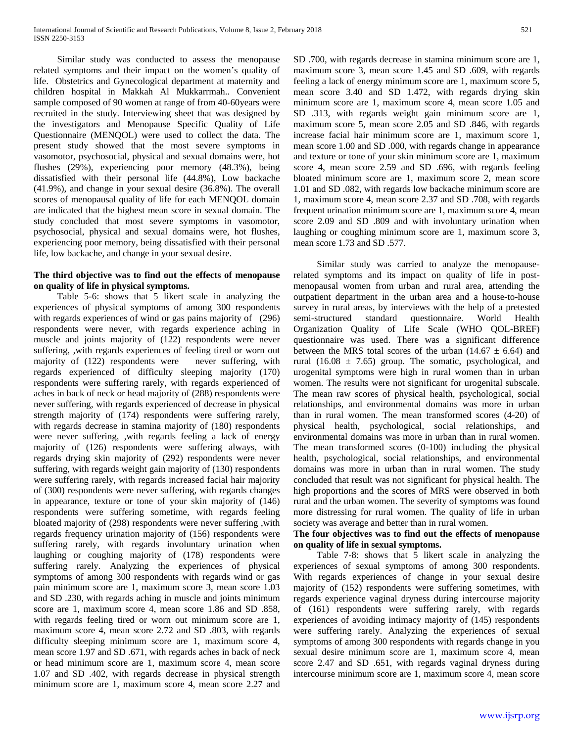Similar study was conducted to assess the menopause related symptoms and their impact on the women's quality of life. Obstetrics and Gynecological department at maternity and children hospital in Makkah Al Mukkarrmah.. Convenient sample composed of 90 women at range of from 40-60years were recruited in the study. Interviewing sheet that was designed by the investigators and Menopause Specific Quality of Life Questionnaire (MENQOL) were used to collect the data. The present study showed that the most severe symptoms in vasomotor, psychosocial, physical and sexual domains were, hot flushes (29%), experiencing poor memory (48.3%), being dissatisfied with their personal life (44.8%), Low backache (41.9%), and change in your sexual desire (36.8%). The overall scores of menopausal quality of life for each MENQOL domain are indicated that the highest mean score in sexual domain. The study concluded that most severe symptoms in vasomotor, psychosocial, physical and sexual domains were, hot flushes, experiencing poor memory, being dissatisfied with their personal life, low backache, and change in your sexual desire.

# **The third objective was to find out the effects of menopause on quality of life in physical symptoms.**

 Table 5-6: shows that 5 likert scale in analyzing the experiences of physical symptoms of among 300 respondents with regards experiences of wind or gas pains majority of (296) respondents were never, with regards experience aching in muscle and joints majority of (122) respondents were never suffering, ,with regards experiences of feeling tired or worn out majority of (122) respondents were never suffering, with regards experienced of difficulty sleeping majority (170) respondents were suffering rarely, with regards experienced of aches in back of neck or head majority of (288) respondents were never suffering, with regards experienced of decrease in physical strength majority of (174) respondents were suffering rarely, with regards decrease in stamina majority of (180) respondents were never suffering, ,with regards feeling a lack of energy majority of (126) respondents were suffering always, with regards drying skin majority of (292) respondents were never suffering, with regards weight gain majority of (130) respondents were suffering rarely, with regards increased facial hair majority of (300) respondents were never suffering, with regards changes in appearance, texture or tone of your skin majority of (146) respondents were suffering sometime, with regards feeling bloated majority of (298) respondents were never suffering ,with regards frequency urination majority of (156) respondents were suffering rarely, with regards involuntary urination when laughing or coughing majority of (178) respondents were suffering rarely. Analyzing the experiences of physical symptoms of among 300 respondents with regards wind or gas pain minimum score are 1, maximum score 3, mean score 1.03 and SD .230, with regards aching in muscle and joints minimum score are 1, maximum score 4, mean score 1.86 and SD .858, with regards feeling tired or worn out minimum score are 1, maximum score 4, mean score 2.72 and SD .803, with regards difficulty sleeping minimum score are 1, maximum score 4, mean score 1.97 and SD .671, with regards aches in back of neck or head minimum score are 1, maximum score 4, mean score 1.07 and SD .402, with regards decrease in physical strength minimum score are 1, maximum score 4, mean score 2.27 and

SD .700, with regards decrease in stamina minimum score are 1, maximum score 3, mean score 1.45 and SD .609, with regards feeling a lack of energy minimum score are 1, maximum score 5, mean score 3.40 and SD 1.472, with regards drying skin minimum score are 1, maximum score 4, mean score 1.05 and SD .313, with regards weight gain minimum score are 1, maximum score 5, mean score 2.05 and SD .846, with regards increase facial hair minimum score are 1, maximum score 1, mean score 1.00 and SD .000, with regards change in appearance and texture or tone of your skin minimum score are 1, maximum score 4, mean score 2.59 and SD .696, with regards feeling bloated minimum score are 1, maximum score 2, mean score 1.01 and SD .082, with regards low backache minimum score are 1, maximum score 4, mean score 2.37 and SD .708, with regards frequent urination minimum score are 1, maximum score 4, mean score 2.09 and SD .809 and with involuntary urination when laughing or coughing minimum score are 1, maximum score 3, mean score 1.73 and SD .577.

 Similar study was carried to analyze the menopauserelated symptoms and its impact on quality of life in postmenopausal women from urban and rural area, attending the outpatient department in the urban area and a house-to-house survey in rural areas, by interviews with the help of a pretested semi-structured standard questionnaire. World Health Organization Quality of Life Scale (WHO QOL-BREF) questionnaire was used. There was a significant difference between the MRS total scores of the urban (14.67  $\pm$  6.64) and rural  $(16.08 \pm 7.65)$  group. The somatic, psychological, and urogenital symptoms were high in rural women than in urban women. The results were not significant for urogenital subscale. The mean raw scores of physical health, psychological, social relationships, and environmental domains was more in urban than in rural women. The mean transformed scores (4-20) of physical health, psychological, social relationships, and environmental domains was more in urban than in rural women. The mean transformed scores (0-100) including the physical health, psychological, social relationships, and environmental domains was more in urban than in rural women. The study concluded that result was not significant for physical health. The high proportions and the scores of MRS were observed in both rural and the urban women. The severity of symptoms was found more distressing for rural women. The quality of life in urban society was average and better than in rural women.

# **The four objectives was to find out the effects of menopause on quality of life in sexual symptoms.**

 Table 7-8: shows that 5 likert scale in analyzing the experiences of sexual symptoms of among 300 respondents. With regards experiences of change in your sexual desire majority of (152) respondents were suffering sometimes, with regards experience vaginal dryness during intercourse majority of (161) respondents were suffering rarely, with regards experiences of avoiding intimacy majority of (145) respondents were suffering rarely. Analyzing the experiences of sexual symptoms of among 300 respondents with regards change in you sexual desire minimum score are 1, maximum score 4, mean score 2.47 and SD .651, with regards vaginal dryness during intercourse minimum score are 1, maximum score 4, mean score